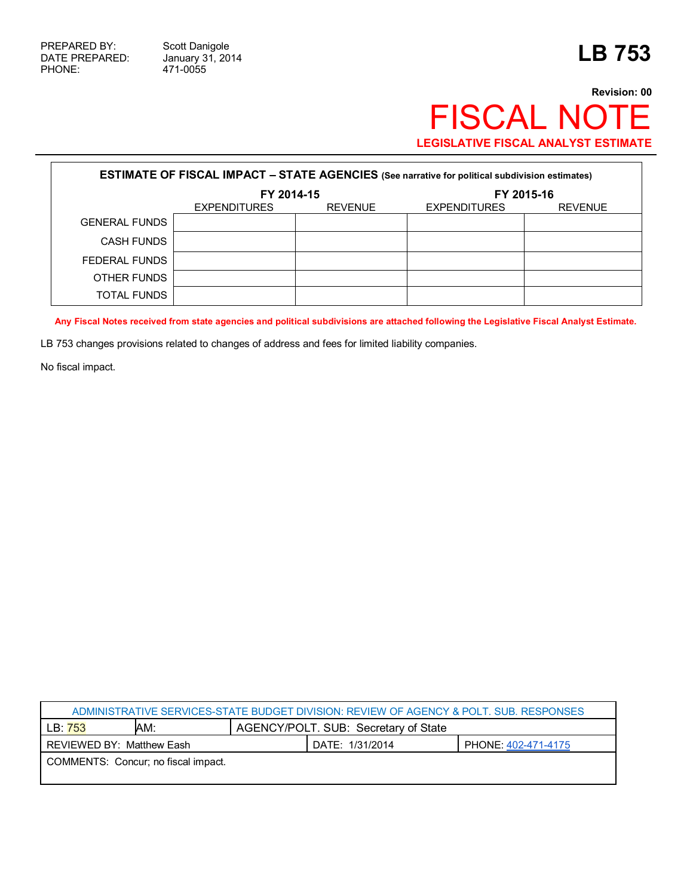Ē

471-0055

## **Revision: 00** FISCAL NOTE **LEGISLATIVE FISCAL ANALYST ESTIMATE**

| <b>ESTIMATE OF FISCAL IMPACT - STATE AGENCIES (See narrative for political subdivision estimates)</b> |                     |                |                     |                |  |
|-------------------------------------------------------------------------------------------------------|---------------------|----------------|---------------------|----------------|--|
|                                                                                                       | FY 2014-15          |                | FY 2015-16          |                |  |
|                                                                                                       | <b>EXPENDITURES</b> | <b>REVENUE</b> | <b>EXPENDITURES</b> | <b>REVENUE</b> |  |
| <b>GENERAL FUNDS</b>                                                                                  |                     |                |                     |                |  |
| <b>CASH FUNDS</b>                                                                                     |                     |                |                     |                |  |
| FEDERAL FUNDS                                                                                         |                     |                |                     |                |  |
| OTHER FUNDS                                                                                           |                     |                |                     |                |  |
| <b>TOTAL FUNDS</b>                                                                                    |                     |                |                     |                |  |

**Any Fiscal Notes received from state agencies and political subdivisions are attached following the Legislative Fiscal Analyst Estimate.**

LB 753 changes provisions related to changes of address and fees for limited liability companies.

No fiscal impact.

| ADMINISTRATIVE SERVICES-STATE BUDGET DIVISION: REVIEW OF AGENCY & POLT. SUB. RESPONSES |     |                                      |                 |                     |  |
|----------------------------------------------------------------------------------------|-----|--------------------------------------|-----------------|---------------------|--|
| LB: 753                                                                                | AM: | AGENCY/POLT. SUB: Secretary of State |                 |                     |  |
| REVIEWED BY: Matthew Eash                                                              |     |                                      | DATE: 1/31/2014 | PHONE: 402-471-4175 |  |
| COMMENTS: Concur; no fiscal impact.                                                    |     |                                      |                 |                     |  |